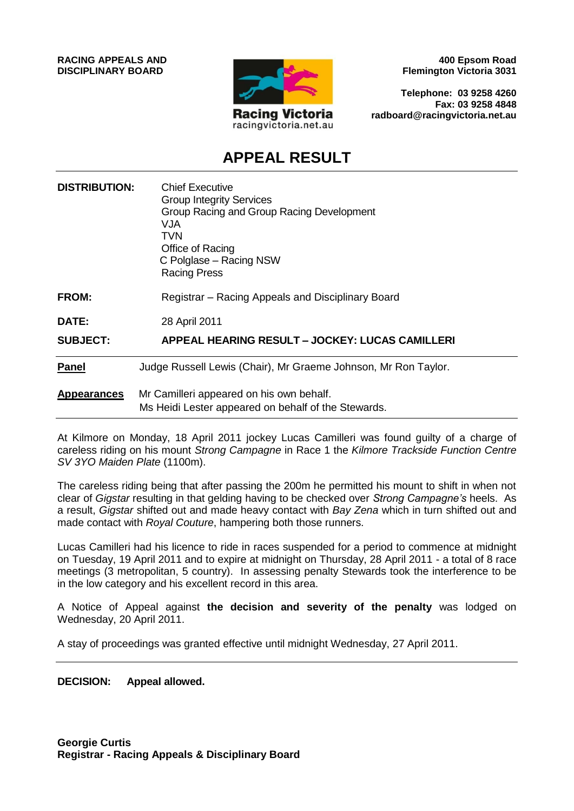

**400 Epsom Road Flemington Victoria 3031**

**Telephone: 03 9258 4260 Fax: 03 9258 4848 radboard@racingvictoria.net.au**

# **APPEAL RESULT**

| <b>DISTRIBUTION:</b> | <b>Chief Executive</b><br><b>Group Integrity Services</b><br>Group Racing and Group Racing Development<br>VJA<br><b>TVN</b><br>Office of Racing<br>C Polglase - Racing NSW<br><b>Racing Press</b> |
|----------------------|---------------------------------------------------------------------------------------------------------------------------------------------------------------------------------------------------|
| <b>FROM:</b>         | Registrar – Racing Appeals and Disciplinary Board                                                                                                                                                 |
| DATE:                | 28 April 2011                                                                                                                                                                                     |
| <b>SUBJECT:</b>      | APPEAL HEARING RESULT - JOCKEY: LUCAS CAMILLERI                                                                                                                                                   |
| <b>Panel</b>         | Judge Russell Lewis (Chair), Mr Graeme Johnson, Mr Ron Taylor.                                                                                                                                    |
| <b>Appearances</b>   | Mr Camilleri appeared on his own behalf.<br>Ms Heidi Lester appeared on behalf of the Stewards.                                                                                                   |

At Kilmore on Monday, 18 April 2011 jockey Lucas Camilleri was found guilty of a charge of careless riding on his mount *Strong Campagne* in Race 1 the *Kilmore Trackside Function Centre SV 3YO Maiden Plate* (1100m).

The careless riding being that after passing the 200m he permitted his mount to shift in when not clear of *Gigstar* resulting in that gelding having to be checked over *Strong Campagne's* heels. As a result, *Gigstar* shifted out and made heavy contact with *Bay Zena* which in turn shifted out and made contact with *Royal Couture*, hampering both those runners.

Lucas Camilleri had his licence to ride in races suspended for a period to commence at midnight on Tuesday, 19 April 2011 and to expire at midnight on Thursday, 28 April 2011 - a total of 8 race meetings (3 metropolitan, 5 country). In assessing penalty Stewards took the interference to be in the low category and his excellent record in this area.

A Notice of Appeal against **the decision and severity of the penalty** was lodged on Wednesday, 20 April 2011.

A stay of proceedings was granted effective until midnight Wednesday, 27 April 2011.

#### **DECISION: Appeal allowed.**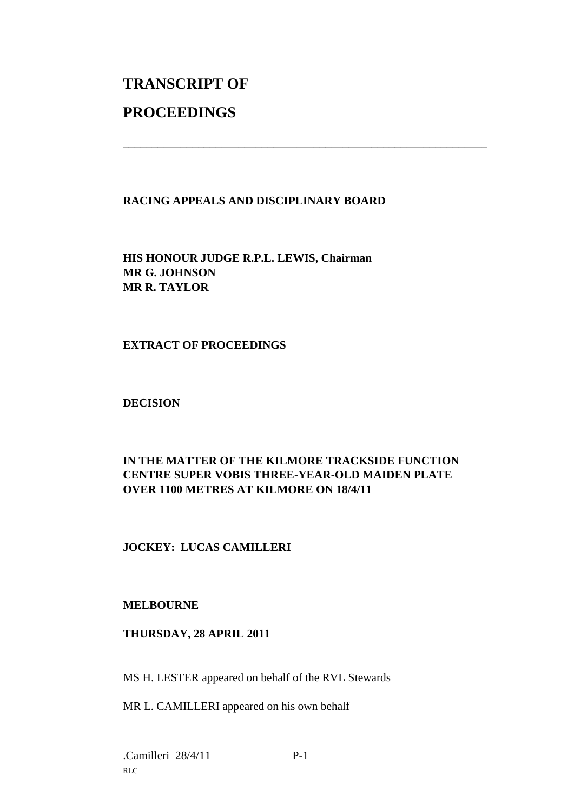# **TRANSCRIPT OF PROCEEDINGS**

# **RACING APPEALS AND DISCIPLINARY BOARD**

\_\_\_\_\_\_\_\_\_\_\_\_\_\_\_\_\_\_\_\_\_\_\_\_\_\_\_\_\_\_\_\_\_\_\_\_\_\_\_\_\_\_\_\_\_\_\_\_\_\_\_\_\_\_\_\_\_\_\_\_\_\_\_

**HIS HONOUR JUDGE R.P.L. LEWIS, Chairman MR G. JOHNSON MR R. TAYLOR**

### **EXTRACT OF PROCEEDINGS**

### **DECISION**

# **IN THE MATTER OF THE KILMORE TRACKSIDE FUNCTION CENTRE SUPER VOBIS THREE-YEAR-OLD MAIDEN PLATE OVER 1100 METRES AT KILMORE ON 18/4/11**

# **JOCKEY: LUCAS CAMILLERI**

#### **MELBOURNE**

#### **THURSDAY, 28 APRIL 2011**

MS H. LESTER appeared on behalf of the RVL Stewards

MR L. CAMILLERI appeared on his own behalf